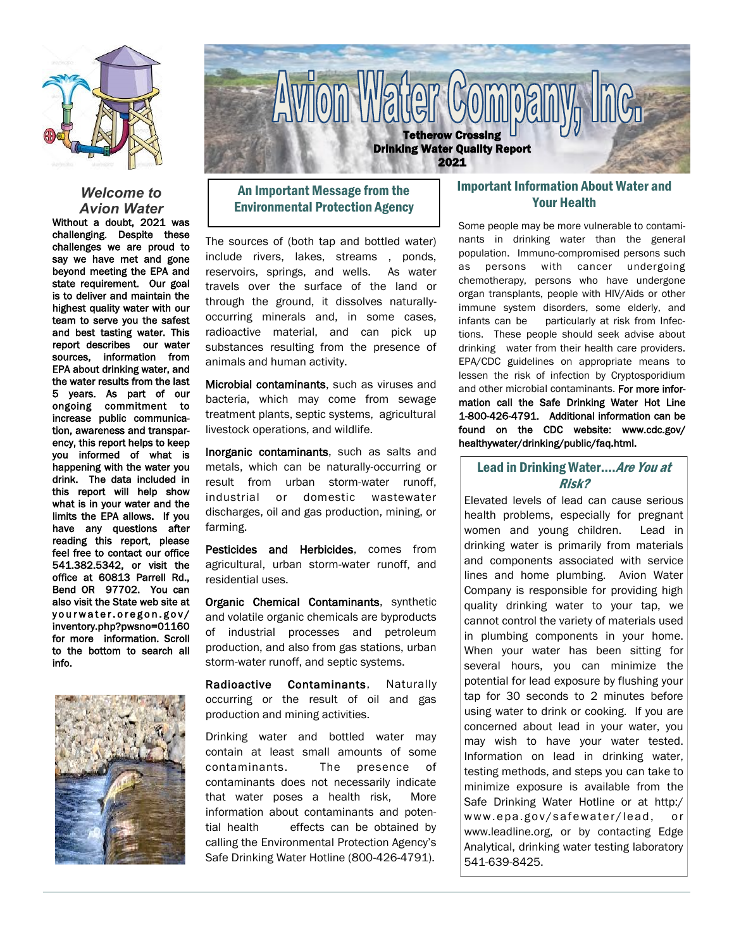

#### *Welcome to Avion Water*

Without a doubt, 2021 was challenging. Despite these challenges we are proud to say we have met and gone beyond meeting the EPA and state requirement. Our goal is to deliver and maintain the highest quality water with our team to serve you the safest and best tasting water. This report describes our water sources, information from EPA about drinking water, and the water results from the last 5 years. As part of our ongoing commitment to increase public communication, awareness and transparency, this report helps to keep you informed of what is happening with the water you drink. The data included in this report will help show what is in your water and the limits the EPA allows. If you have any questions after reading this report, please feel free to contact our office 541.382.5342, or visit the office at 60813 Parrell Rd., Bend OR 97702. You can also visit the State web site at yourwater.oregon.gov/ inventory.php?pwsno=01160 for more information. Scroll to the bottom to search all info.





## An Important Message from the Environmental Protection Agency

The sources of (both tap and bottled water) include rivers, lakes, streams , ponds, reservoirs, springs, and wells. As water travels over the surface of the land or through the ground, it dissolves naturallyoccurring minerals and, in some cases, radioactive material, and can pick up substances resulting from the presence of animals and human activity.

Microbial contaminants, such as viruses and bacteria, which may come from sewage treatment plants, septic systems, agricultural livestock operations, and wildlife.

Inorganic contaminants, such as salts and metals, which can be naturally-occurring or result from urban storm-water runoff, industrial or domestic wastewater discharges, oil and gas production, mining, or farming.

Pesticides and Herbicides, comes from agricultural, urban storm-water runoff, and residential uses.

Organic Chemical Contaminants, synthetic and volatile organic chemicals are byproducts of industrial processes and petroleum production, and also from gas stations, urban storm-water runoff, and septic systems.

Radioactive Contaminants, Naturally occurring or the result of oil and gas production and mining activities.

Drinking water and bottled water may contain at least small amounts of some contaminants. The presence of contaminants does not necessarily indicate that water poses a health risk, More information about contaminants and potential health effects can be obtained by calling the Environmental Protection Agency's Safe Drinking Water Hotline (800-426-4791).

## Important Information About Water and Your Health

Some people may be more vulnerable to contaminants in drinking water than the general population. Immuno-compromised persons such as persons with cancer undergoing chemotherapy, persons who have undergone organ transplants, people with HIV/Aids or other immune system disorders, some elderly, and infants can be particularly at risk from Infections. These people should seek advise about drinking water from their health care providers. EPA/CDC guidelines on appropriate means to lessen the risk of infection by Cryptosporidium and other microbial contaminants. For more information call the Safe Drinking Water Hot Line 1-800-426-4791. Additional information can be found on the CDC website: www.cdc.gov/ healthywater/drinking/public/faq.html.

#### Lead in Drinking Water.... Are You at Risk?

Elevated levels of lead can cause serious health problems, especially for pregnant women and young children. Lead in drinking water is primarily from materials and components associated with service lines and home plumbing. Avion Water Company is responsible for providing high quality drinking water to your tap, we cannot control the variety of materials used in plumbing components in your home. When your water has been sitting for several hours, you can minimize the potential for lead exposure by flushing your tap for 30 seconds to 2 minutes before using water to drink or cooking. If you are concerned about lead in your water, you may wish to have your water tested. Information on lead in drinking water, testing methods, and steps you can take to minimize exposure is available from the Safe Drinking Water Hotline or at http:/ www.epa.gov/safewater/lead, or www.leadline.org, or by contacting Edge Analytical, drinking water testing laboratory 541-639-8425.